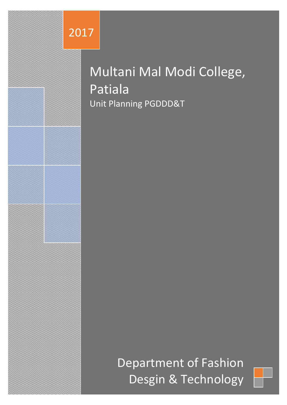

# Multani Mal Modi College, Patiala Unit Planning PGDDD&T

Department of Fashion Desgin & Technology

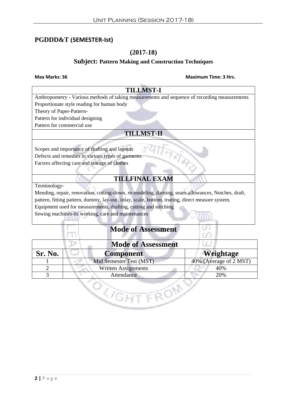#### **PGDDD&T (SEMESTER-Ist)**

#### **(2017-18)**

#### **Subject: Pattern Making and Construction Techniques**

#### **Max Marks: 36 Maximum Time: 3 Hrs.**

|                          | <b>TILLMST-I</b>                                                                                  |                        |
|--------------------------|---------------------------------------------------------------------------------------------------|------------------------|
|                          | Anthropometry - Various methods of taking measurements and sequence of recording measurements     |                        |
|                          | Proportionate style reading for human body                                                        |                        |
| Theory of Paper-Pattern- |                                                                                                   |                        |
|                          | Pattern for individual designing                                                                  |                        |
|                          | Pattern for commercial use                                                                        |                        |
|                          | <b>TILLMST-II</b>                                                                                 |                        |
|                          |                                                                                                   |                        |
|                          | Scopes and importance of drafting and layouts                                                     |                        |
|                          | Defects and remedies in various types of garments                                                 |                        |
|                          | Factors affecting care and storage of clothes                                                     |                        |
|                          |                                                                                                   |                        |
|                          | <b>TILLFINAL EXAM</b>                                                                             |                        |
| Terminology-             |                                                                                                   |                        |
|                          | Mending, repair, renovation, cutting-down, re-modeling, darning, seam-allowances, Notches, draft, |                        |
|                          |                                                                                                   |                        |
|                          | pattern, fitting pattern, dummy, lay-out, inlay, scale, bottom, trueing, direct measure system.   |                        |
|                          | Equipment used for measurements, drafting, cutting and stitching                                  |                        |
|                          | Sewing machines-its working, care and maintenances                                                |                        |
|                          |                                                                                                   |                        |
|                          | <b>Mode of Assessment</b>                                                                         |                        |
|                          |                                                                                                   |                        |
|                          | <b>Mode of Assessment</b>                                                                         |                        |
| <b>Sr. No.</b>           | <b>Component</b>                                                                                  | Weightage              |
|                          | Mid Semester Test (MST)                                                                           | 40% (Average of 2 MST) |
| $\overline{2}$           | <b>Written Assignments</b>                                                                        | 40%                    |
| 3                        | Attendance                                                                                        | 20%                    |

Q,

FRON